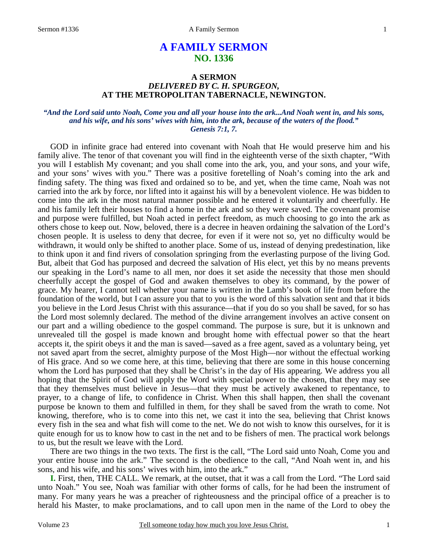# **A FAMILY SERMON NO. 1336**

## **A SERMON**  *DELIVERED BY C. H. SPURGEON,*  **AT THE METROPOLITAN TABERNACLE, NEWINGTON.**

#### *"And the Lord said unto Noah, Come you and all your house into the ark...And Noah went in, and his sons, and his wife, and his sons' wives with him, into the ark, because of the waters of the flood." Genesis 7:1, 7.*

GOD in infinite grace had entered into covenant with Noah that He would preserve him and his family alive. The tenor of that covenant you will find in the eighteenth verse of the sixth chapter, "With you will I establish My covenant; and you shall come into the ark, you, and your sons, and your wife, and your sons' wives with you." There was a positive foretelling of Noah's coming into the ark and finding safety. The thing was fixed and ordained so to be, and yet, when the time came, Noah was not carried into the ark by force, nor lifted into it against his will by a benevolent violence. He was bidden to come into the ark in the most natural manner possible and he entered it voluntarily and cheerfully. He and his family left their houses to find a home in the ark and so they were saved. The covenant promise and purpose were fulfilled, but Noah acted in perfect freedom, as much choosing to go into the ark as others chose to keep out. Now, beloved, there is a decree in heaven ordaining the salvation of the Lord's chosen people. It is useless to deny that decree, for even if it were not so, yet no difficulty would be withdrawn, it would only be shifted to another place. Some of us, instead of denying predestination, like to think upon it and find rivers of consolation springing from the everlasting purpose of the living God. But, albeit that God has purposed and decreed the salvation of His elect, yet this by no means prevents our speaking in the Lord's name to all men, nor does it set aside the necessity that those men should cheerfully accept the gospel of God and awaken themselves to obey its command, by the power of grace. My hearer, I cannot tell whether your name is written in the Lamb's book of life from before the foundation of the world, but I can assure you that to you is the word of this salvation sent and that it bids you believe in the Lord Jesus Christ with this assurance—that if you do so you shall be saved, for so has the Lord most solemnly declared. The method of the divine arrangement involves an active consent on our part and a willing obedience to the gospel command. The purpose is sure, but it is unknown and unrevealed till the gospel is made known and brought home with effectual power so that the heart accepts it, the spirit obeys it and the man is saved—saved as a free agent, saved as a voluntary being, yet not saved apart from the secret, almighty purpose of the Most High—nor without the effectual working of His grace. And so we come here, at this time, believing that there are some in this house concerning whom the Lord has purposed that they shall be Christ's in the day of His appearing. We address you all hoping that the Spirit of God will apply the Word with special power to the chosen, that they may see that they themselves must believe in Jesus—that they must be actively awakened to repentance, to prayer, to a change of life, to confidence in Christ. When this shall happen, then shall the covenant purpose be known to them and fulfilled in them, for they shall be saved from the wrath to come. Not knowing, therefore, who is to come into this net, we cast it into the sea, believing that Christ knows every fish in the sea and what fish will come to the net. We do not wish to know this ourselves, for it is quite enough for us to know how to cast in the net and to be fishers of men. The practical work belongs to us, but the result we leave with the Lord.

There are two things in the two texts. The first is the call, "The Lord said unto Noah, Come you and your entire house into the ark." The second is the obedience to the call, "And Noah went in, and his sons, and his wife, and his sons' wives with him, into the ark."

**I.** First, then, THE CALL. We remark, at the outset, that it was a call from the Lord. "The Lord said unto Noah." You see, Noah was familiar with other forms of calls, for he had been the instrument of many. For many years he was a preacher of righteousness and the principal office of a preacher is to herald his Master, to make proclamations, and to call upon men in the name of the Lord to obey the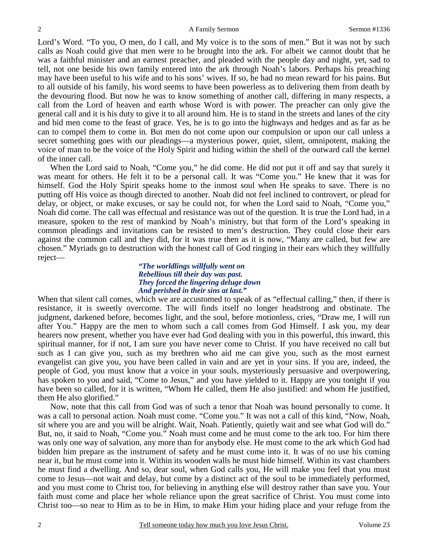Lord's Word. "To you, O men, do I call, and My voice is to the sons of men." But it was not by such calls as Noah could give that men were to be brought into the ark. For albeit we cannot doubt that he was a faithful minister and an earnest preacher, and pleaded with the people day and night, yet, sad to tell, not one beside his own family entered into the ark through Noah's labors. Perhaps his preaching may have been useful to his wife and to his sons' wives. If so, he had no mean reward for his pains. But to all outside of his family, his word seems to have been powerless as to delivering them from death by the devouring flood. But now he was to know something of another call, differing in many respects, a call from the Lord of heaven and earth whose Word is with power. The preacher can only give the general call and it is his duty to give it to all around him. He is to stand in the streets and lanes of the city and bid men come to the feast of grace. Yes, he is to go into the highways and hedges and as far as he can to compel them to come in. But men do not come upon our compulsion or upon our call unless a secret something goes with our pleadings—a mysterious power, quiet, silent, omnipotent, making the voice of man to be the voice of the Holy Spirit and hiding within the shell of the outward call the kernel of the inner call.

When the Lord said to Noah, "Come you," he did come. He did not put it off and say that surely it was meant for others. He felt it to be a personal call. It was "Come you." He knew that it was for himself. God the Holy Spirit speaks home to the inmost soul when He speaks to save. There is no putting off His voice as though directed to another. Noah did not feel inclined to controvert, or plead for delay, or object, or make excuses, or say he could not, for when the Lord said to Noah, "Come you," Noah did come. The call was effectual and resistance was out of the question. It is true the Lord had, in a measure, spoken to the rest of mankind by Noah's ministry, but that form of the Lord's speaking in common pleadings and invitations can be resisted to men's destruction. They could close their ears against the common call and they did, for it was true then as it is now, "Many are called, but few are chosen." Myriads go to destruction with the honest call of God ringing in their ears which they willfully reject—

#### *"The worldlings willfully went on Rebellious till their day was past. They forced the lingering deluge down And perished in their sins at last."*

When that silent call comes, which we are accustomed to speak of as "effectual calling," then, if there is resistance, it is sweetly overcome. The will finds itself no longer headstrong and obstinate. The judgment, darkened before, becomes light, and the soul, before motionless, cries, "Draw me, I will run after You." Happy are the men to whom such a call comes from God Himself. I ask you, my dear hearers now present, whether you have ever had God dealing with you in this powerful, this inward, this spiritual manner, for if not, I am sure you have never come to Christ. If you have received no call but such as I can give you, such as my brethren who aid me can give you, such as the most earnest evangelist can give you, you have been called in vain and are yet in your sins. If you are, indeed, the people of God, you must know that a voice in your souls, mysteriously persuasive and overpowering, has spoken to you and said, "Come to Jesus," and you have yielded to it. Happy are you tonight if you have been so called, for it is written, "Whom He called, them He also justified: and whom He justified, them He also glorified."

Now, note that this call from God was of such a tenor that Noah was bound personally to come. It was a call to personal action. Noah must come. "Come you." It was not a call of this kind, "Now, Noah, sit where you are and you will be alright. Wait, Noah. Patiently, quietly wait and see what God will do." But, no, it said to Noah, "Come you." Noah must come and he must come to the ark too. For him there was only one way of salvation, any more than for anybody else. He must come to the ark which God had bidden him prepare as the instrument of safety and he must come into it. It was of no use his coming near it, but he must come into it. Within its wooden walls he must hide himself. Within its vast chambers he must find a dwelling. And so, dear soul, when God calls you, He will make you feel that you must come to Jesus—not wait and delay, but come by a distinct act of the soul to be immediately performed, and you must come to Christ too, for believing in anything else will destroy rather than save you. Your faith must come and place her whole reliance upon the great sacrifice of Christ. You must come into Christ too—so near to Him as to be in Him, to make Him your hiding place and your refuge from the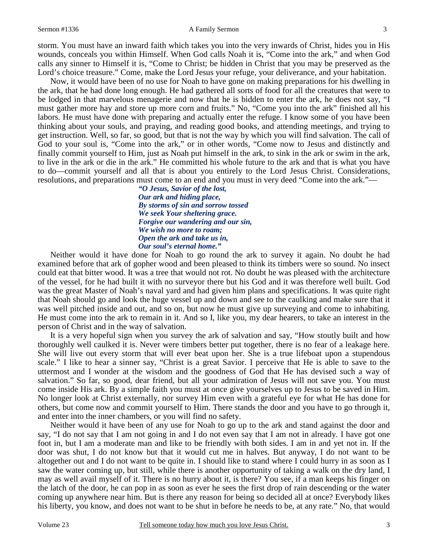#### Sermon #1336 **A Family Sermon** 3

storm. You must have an inward faith which takes you into the very inwards of Christ, hides you in His wounds, conceals you within Himself. When God calls Noah it is, "Come into the ark," and when God calls any sinner to Himself it is, "Come to Christ; be hidden in Christ that you may be preserved as the Lord's choice treasure." Come, make the Lord Jesus your refuge, your deliverance, and your habitation.

Now, it would have been of no use for Noah to have gone on making preparations for his dwelling in the ark, that he had done long enough. He had gathered all sorts of food for all the creatures that were to be lodged in that marvelous menagerie and now that he is bidden to enter the ark, he does not say, "I must gather more hay and store up more corn and fruits." No, "Come you into the ark" finished all his labors. He must have done with preparing and actually enter the refuge. I know some of you have been thinking about your souls, and praying, and reading good books, and attending meetings, and trying to get instruction. Well, so far, so good, but that is not the way by which you will find salvation. The call of God to your soul is, "Come into the ark," or in other words, "Come now to Jesus and distinctly and finally commit yourself to Him, just as Noah put himself in the ark, to sink in the ark or swim in the ark, to live in the ark or die in the ark." He committed his whole future to the ark and that is what you have to do—commit yourself and all that is about you entirely to the Lord Jesus Christ. Considerations, resolutions, and preparations must come to an end and you must in very deed "Come into the ark."—

> *"O Jesus, Savior of the lost, Our ark and hiding place, By storms of sin and sorrow tossed We seek Your sheltering grace. Forgive our wandering and our sin, We wish no more to roam; Open the ark and take us in, Our soul's eternal home."*

Neither would it have done for Noah to go round the ark to survey it again. No doubt he had examined before that ark of gopher wood and been pleased to think its timbers were so sound. No insect could eat that bitter wood. It was a tree that would not rot. No doubt he was pleased with the architecture of the vessel, for he had built it with no surveyor there but his God and it was therefore well built. God was the great Master of Noah's naval yard and had given him plans and specifications. It was quite right that Noah should go and look the huge vessel up and down and see to the caulking and make sure that it was well pitched inside and out, and so on, but now he must give up surveying and come to inhabiting. He must come into the ark to remain in it. And so I, like you, my dear hearers, to take an interest in the person of Christ and in the way of salvation.

It is a very hopeful sign when you survey the ark of salvation and say, "How stoutly built and how thoroughly well caulked it is. Never were timbers better put together, there is no fear of a leakage here. She will live out every storm that will ever beat upon her. She is a true lifeboat upon a stupendous scale." I like to hear a sinner say, "Christ is a great Savior. I perceive that He is able to save to the uttermost and I wonder at the wisdom and the goodness of God that He has devised such a way of salvation." So far, so good, dear friend, but all your admiration of Jesus will not save you. You must come inside His ark. By a simple faith you must at once give yourselves up to Jesus to be saved in Him. No longer look at Christ externally, nor survey Him even with a grateful eye for what He has done for others, but come now and commit yourself to Him. There stands the door and you have to go through it, and enter into the inner chambers, or you will find no safety.

Neither would it have been of any use for Noah to go up to the ark and stand against the door and say, "I do not say that I am not going in and I do not even say that I am not in already. I have got one foot in, but I am a moderate man and like to be friendly with both sides. I am in and yet not in. If the door was shut, I do not know but that it would cut me in halves. But anyway, I do not want to be altogether out and I do not want to be quite in. I should like to stand where I could hurry in as soon as I saw the water coming up, but still, while there is another opportunity of taking a walk on the dry land, I may as well avail myself of it. There is no hurry about it, is there? You see, if a man keeps his finger on the latch of the door, he can pop in as soon as ever he sees the first drop of rain descending or the water coming up anywhere near him. But is there any reason for being so decided all at once? Everybody likes his liberty, you know, and does not want to be shut in before he needs to be, at any rate." No, that would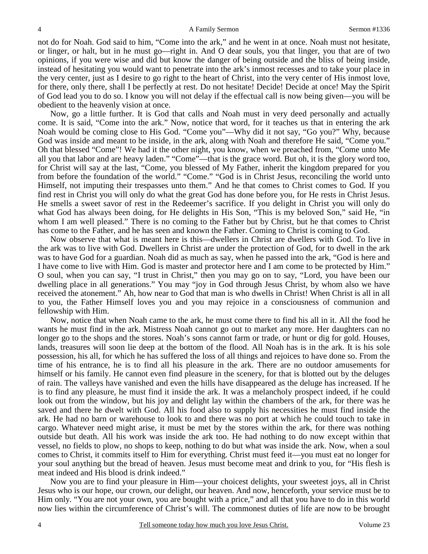not do for Noah. God said to him, "Come into the ark," and he went in at once. Noah must not hesitate, or linger, or halt, but in he must go—right in. And O dear souls, you that linger, you that are of two opinions, if you were wise and did but know the danger of being outside and the bliss of being inside, instead of hesitating you would want to penetrate into the ark's inmost recesses and to take your place in the very center, just as I desire to go right to the heart of Christ, into the very center of His inmost love, for there, only there, shall I be perfectly at rest. Do not hesitate! Decide! Decide at once! May the Spirit of God lead you to do so. I know you will not delay if the effectual call is now being given—you will be obedient to the heavenly vision at once.

Now, go a little further. It is God that calls and Noah must in very deed personally and actually come. It is said, "Come into the ark." Now, notice that word, for it teaches us that in entering the ark Noah would be coming close to His God. "Come you"—Why did it not say, "Go you?" Why, because God was inside and meant to be inside, in the ark, along with Noah and therefore He said, "Come you." Oh that blessed "Come"! We had it the other night, you know, when we preached from, "Come unto Me all you that labor and are heavy laden." "Come"—that is the grace word. But oh, it is the glory word too, for Christ will say at the last, "Come, you blessed of My Father, inherit the kingdom prepared for you from before the foundation of the world." "Come." "God is in Christ Jesus, reconciling the world unto Himself, not imputing their trespasses unto them." And he that comes to Christ comes to God. If you find rest in Christ you will only do what the great God has done before you, for He rests in Christ Jesus. He smells a sweet savor of rest in the Redeemer's sacrifice. If you delight in Christ you will only do what God has always been doing, for He delights in His Son, "This is my beloved Son," said He, "in whom I am well pleased." There is no coming to the Father but by Christ, but he that comes to Christ has come to the Father, and he has seen and known the Father. Coming to Christ is coming to God.

Now observe that what is meant here is this—dwellers in Christ are dwellers with God. To live in the ark was to live with God. Dwellers in Christ are under the protection of God, for to dwell in the ark was to have God for a guardian. Noah did as much as say, when he passed into the ark, "God is here and I have come to live with Him. God is master and protector here and I am come to be protected by Him." O soul, when you can say, "I trust in Christ," then you may go on to say, "Lord, you have been our dwelling place in all generations." You may "joy in God through Jesus Christ, by whom also we have received the atonement." Ah, how near to God that man is who dwells in Christ! When Christ is all in all to you, the Father Himself loves you and you may rejoice in a consciousness of communion and fellowship with Him.

Now, notice that when Noah came to the ark, he must come there to find his all in it. All the food he wants he must find in the ark. Mistress Noah cannot go out to market any more. Her daughters can no longer go to the shops and the stores. Noah's sons cannot farm or trade, or hunt or dig for gold. Houses, lands, treasures will soon lie deep at the bottom of the flood. All Noah has is in the ark. It is his sole possession, his all, for which he has suffered the loss of all things and rejoices to have done so. From the time of his entrance, he is to find all his pleasure in the ark. There are no outdoor amusements for himself or his family. He cannot even find pleasure in the scenery, for that is blotted out by the deluges of rain. The valleys have vanished and even the hills have disappeared as the deluge has increased. If he is to find any pleasure, he must find it inside the ark. It was a melancholy prospect indeed, if he could look out from the window, but his joy and delight lay within the chambers of the ark, for there was he saved and there he dwelt with God. All his food also to supply his necessities he must find inside the ark. He had no barn or warehouse to look to and there was no port at which he could touch to take in cargo. Whatever need might arise, it must be met by the stores within the ark, for there was nothing outside but death. All his work was inside the ark too. He had nothing to do now except within that vessel, no fields to plow, no shops to keep, nothing to do but what was inside the ark. Now, when a soul comes to Christ, it commits itself to Him for everything. Christ must feed it—you must eat no longer for your soul anything but the bread of heaven. Jesus must become meat and drink to you, for "His flesh is meat indeed and His blood is drink indeed."

Now you are to find your pleasure in Him—your choicest delights, your sweetest joys, all in Christ Jesus who is our hope, our crown, our delight, our heaven. And now, henceforth, your service must be to Him only. "You are not your own, you are bought with a price," and all that you have to do in this world now lies within the circumference of Christ's will. The commonest duties of life are now to be brought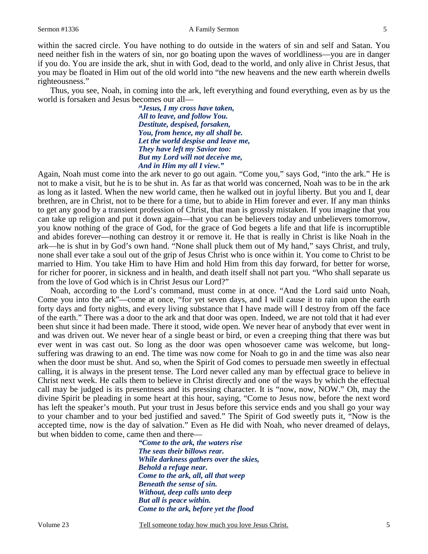within the sacred circle. You have nothing to do outside in the waters of sin and self and Satan. You need neither fish in the waters of sin, nor go boating upon the waves of worldliness—you are in danger if you do. You are inside the ark, shut in with God, dead to the world, and only alive in Christ Jesus, that you may be floated in Him out of the old world into "the new heavens and the new earth wherein dwells righteousness."

Thus, you see, Noah, in coming into the ark, left everything and found everything, even as by us the world is forsaken and Jesus becomes our all—

> *"Jesus, I my cross have taken, All to leave, and follow You. Destitute, despised, forsaken, You, from hence, my all shall be. Let the world despise and leave me, They have left my Savior too: But my Lord will not deceive me, And in Him my all I view."*

Again, Noah must come into the ark never to go out again. "Come you," says God, "into the ark." He is not to make a visit, but he is to be shut in. As far as that world was concerned, Noah was to be in the ark as long as it lasted. When the new world came, then he walked out in joyful liberty. But you and I, dear brethren, are in Christ, not to be there for a time, but to abide in Him forever and ever. If any man thinks to get any good by a transient profession of Christ, that man is grossly mistaken. If you imagine that you can take up religion and put it down again—that you can be believers today and unbelievers tomorrow, you know nothing of the grace of God, for the grace of God begets a life and that life is incorruptible and abides forever—nothing can destroy it or remove it. He that is really in Christ is like Noah in the ark—he is shut in by God's own hand. "None shall pluck them out of My hand," says Christ, and truly, none shall ever take a soul out of the grip of Jesus Christ who is once within it. You come to Christ to be married to Him. You take Him to have Him and hold Him from this day forward, for better for worse, for richer for poorer, in sickness and in health, and death itself shall not part you. "Who shall separate us from the love of God which is in Christ Jesus our Lord?"

Noah, according to the Lord's command, must come in at once. "And the Lord said unto Noah, Come you into the ark"—come at once, "for yet seven days, and I will cause it to rain upon the earth forty days and forty nights, and every living substance that I have made will I destroy from off the face of the earth." There was a door to the ark and that door was open. Indeed, we are not told that it had ever been shut since it had been made. There it stood, wide open. We never hear of anybody that ever went in and was driven out. We never hear of a single beast or bird, or even a creeping thing that there was but ever went in was cast out. So long as the door was open whosoever came was welcome, but longsuffering was drawing to an end. The time was now come for Noah to go in and the time was also near when the door must be shut. And so, when the Spirit of God comes to persuade men sweetly in effectual calling, it is always in the present tense. The Lord never called any man by effectual grace to believe in Christ next week. He calls them to believe in Christ directly and one of the ways by which the effectual call may be judged is its presentness and its pressing character. It is "now, now, NOW." Oh, may the divine Spirit be pleading in some heart at this hour, saying, "Come to Jesus now, before the next word has left the speaker's mouth. Put your trust in Jesus before this service ends and you shall go your way to your chamber and to your bed justified and saved." The Spirit of God sweetly puts it, "Now is the accepted time, now is the day of salvation." Even as He did with Noah, who never dreamed of delays, but when bidden to come, came then and there—

*"Come to the ark, the waters rise The seas their billows rear. While darkness gathers over the skies, Behold a refuge near. Come to the ark, all, all that weep Beneath the sense of sin. Without, deep calls unto deep But all is peace within. Come to the ark, before yet the flood* 

Volume 23 Tell someone today how much you love Jesus Christ. 5 5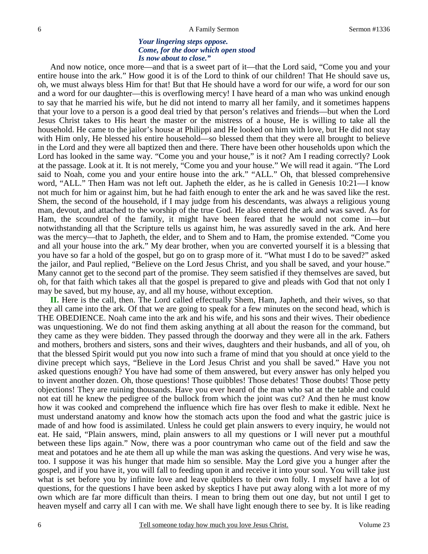#### *Your lingering steps oppose. Come, for the door which open stood Is now about to close."*

And now notice, once more—and that is a sweet part of it—that the Lord said, "Come you and your entire house into the ark." How good it is of the Lord to think of our children! That He should save us, oh, we must always bless Him for that! But that He should have a word for our wife, a word for our son and a word for our daughter—this is overflowing mercy! I have heard of a man who was unkind enough to say that he married his wife, but he did not intend to marry all her family, and it sometimes happens that your love to a person is a good deal tried by that person's relatives and friends—but when the Lord Jesus Christ takes to His heart the master or the mistress of a house, He is willing to take all the household. He came to the jailor's house at Philippi and He looked on him with love, but He did not stay with Him only, He blessed his entire household—so blessed them that they were all brought to believe in the Lord and they were all baptized then and there. There have been other households upon which the Lord has looked in the same way. "Come you and your house," is it not? Am I reading correctly? Look at the passage. Look at it. It is not merely, "Come you and your house." We will read it again. "The Lord said to Noah, come you and your entire house into the ark." "ALL." Oh, that blessed comprehensive word, "ALL." Then Ham was not left out. Japheth the elder, as he is called in Genesis 10:21—I know not much for him or against him, but he had faith enough to enter the ark and he was saved like the rest. Shem, the second of the household, if I may judge from his descendants, was always a religious young man, devout, and attached to the worship of the true God. He also entered the ark and was saved. As for Ham, the scoundrel of the family, it might have been feared that he would not come in—but notwithstanding all that the Scripture tells us against him, he was assuredly saved in the ark. And here was the mercy—that to Japheth, the elder, and to Shem and to Ham, the promise extended. "Come you and all your house into the ark." My dear brother, when you are converted yourself it is a blessing that you have so far a hold of the gospel, but go on to grasp more of it. "What must I do to be saved?" asked the jailor, and Paul replied, "Believe on the Lord Jesus Christ, and you shall be saved, and your house." Many cannot get to the second part of the promise. They seem satisfied if they themselves are saved, but oh, for that faith which takes all that the gospel is prepared to give and pleads with God that not only I may be saved, but my house, ay, and all my house, without exception.

**II.** Here is the call, then. The Lord called effectually Shem, Ham, Japheth, and their wives, so that they all came into the ark. Of that we are going to speak for a few minutes on the second head, which is THE OBEDIENCE. Noah came into the ark and his wife, and his sons and their wives. Their obedience was unquestioning. We do not find them asking anything at all about the reason for the command, but they came as they were bidden. They passed through the doorway and they were all in the ark. Fathers and mothers, brothers and sisters, sons and their wives, daughters and their husbands, and all of you, oh that the blessed Spirit would put you now into such a frame of mind that you should at once yield to the divine precept which says, "Believe in the Lord Jesus Christ and you shall be saved." Have you not asked questions enough? You have had some of them answered, but every answer has only helped you to invent another dozen. Oh, those questions! Those quibbles! Those debates! Those doubts! Those petty objections! They are ruining thousands. Have you ever heard of the man who sat at the table and could not eat till he knew the pedigree of the bullock from which the joint was cut? And then he must know how it was cooked and comprehend the influence which fire has over flesh to make it edible. Next he must understand anatomy and know how the stomach acts upon the food and what the gastric juice is made of and how food is assimilated. Unless he could get plain answers to every inquiry, he would not eat. He said, "Plain answers, mind, plain answers to all my questions or I will never put a mouthful between these lips again." Now, there was a poor countryman who came out of the field and saw the meat and potatoes and he ate them all up while the man was asking the questions. And very wise he was, too. I suppose it was his hunger that made him so sensible. May the Lord give you a hunger after the gospel, and if you have it, you will fall to feeding upon it and receive it into your soul. You will take just what is set before you by infinite love and leave quibblers to their own folly. I myself have a lot of questions, for the questions I have been asked by skeptics I have put away along with a lot more of my own which are far more difficult than theirs. I mean to bring them out one day, but not until I get to heaven myself and carry all I can with me. We shall have light enough there to see by. It is like reading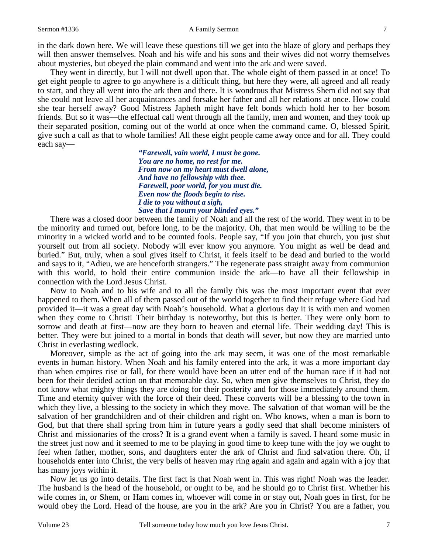in the dark down here. We will leave these questions till we get into the blaze of glory and perhaps they will then answer themselves. Noah and his wife and his sons and their wives did not worry themselves about mysteries, but obeyed the plain command and went into the ark and were saved.

They went in directly, but I will not dwell upon that. The whole eight of them passed in at once! To get eight people to agree to go anywhere is a difficult thing, but here they were, all agreed and all ready to start, and they all went into the ark then and there. It is wondrous that Mistress Shem did not say that she could not leave all her acquaintances and forsake her father and all her relations at once. How could she tear herself away? Good Mistress Japheth might have felt bonds which hold her to her bosom friends. But so it was—the effectual call went through all the family, men and women, and they took up their separated position, coming out of the world at once when the command came. O, blessed Spirit, give such a call as that to whole families! All these eight people came away once and for all. They could each say—

> *"Farewell, vain world, I must be gone. You are no home, no rest for me. From now on my heart must dwell alone, And have no fellowship with thee. Farewell, poor world, for you must die. Even now the floods begin to rise. I die to you without a sigh, Save that I mourn your blinded eyes."*

There was a closed door between the family of Noah and all the rest of the world. They went in to be the minority and turned out, before long, to be the majority. Oh, that men would be willing to be the minority in a wicked world and to be counted fools. People say, "If you join that church, you just shut yourself out from all society. Nobody will ever know you anymore. You might as well be dead and buried." But, truly, when a soul gives itself to Christ, it feels itself to be dead and buried to the world and says to it, "Adieu, we are henceforth strangers." The regenerate pass straight away from communion with this world, to hold their entire communion inside the ark—to have all their fellowship in connection with the Lord Jesus Christ.

Now to Noah and to his wife and to all the family this was the most important event that ever happened to them. When all of them passed out of the world together to find their refuge where God had provided it—it was a great day with Noah's household. What a glorious day it is with men and women when they come to Christ! Their birthday is noteworthy, but this is better. They were only born to sorrow and death at first—now are they born to heaven and eternal life. Their wedding day! This is better. They were but joined to a mortal in bonds that death will sever, but now they are married unto Christ in everlasting wedlock.

Moreover, simple as the act of going into the ark may seem, it was one of the most remarkable events in human history. When Noah and his family entered into the ark, it was a more important day than when empires rise or fall, for there would have been an utter end of the human race if it had not been for their decided action on that memorable day. So, when men give themselves to Christ, they do not know what mighty things they are doing for their posterity and for those immediately around them. Time and eternity quiver with the force of their deed. These converts will be a blessing to the town in which they live, a blessing to the society in which they move. The salvation of that woman will be the salvation of her grandchildren and of their children and right on. Who knows, when a man is born to God, but that there shall spring from him in future years a godly seed that shall become ministers of Christ and missionaries of the cross? It is a grand event when a family is saved. I heard some music in the street just now and it seemed to me to be playing in good time to keep tune with the joy we ought to feel when father, mother, sons, and daughters enter the ark of Christ and find salvation there. Oh, if households enter into Christ, the very bells of heaven may ring again and again and again with a joy that has many joys within it.

Now let us go into details. The first fact is that Noah went in. This was right! Noah was the leader. The husband is the head of the household, or ought to be, and he should go to Christ first. Whether his wife comes in, or Shem, or Ham comes in, whoever will come in or stay out, Noah goes in first, for he would obey the Lord. Head of the house, are you in the ark? Are you in Christ? You are a father, you